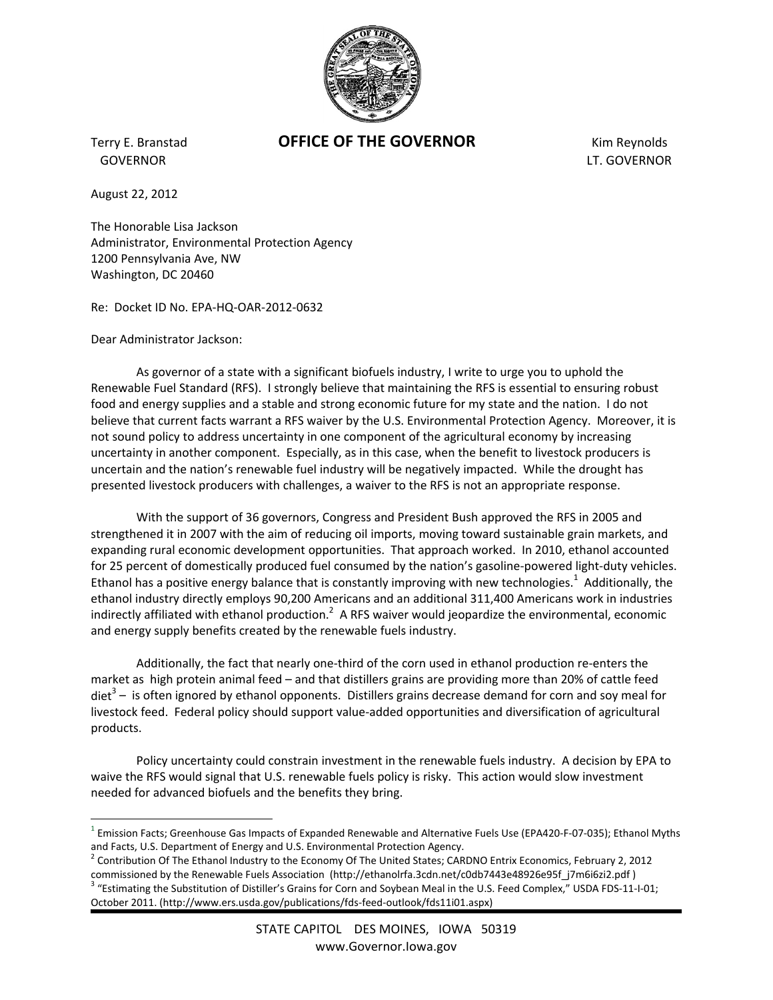

GOVERNOR LT. GOVERNOR

## Terry E. Branstad **OFFICE OF THE GOVERNOR** Kim Reynolds

August 22, 2012

 $\overline{a}$ 

The Honorable Lisa Jackson Administrator, Environmental Protection Agency 1200 Pennsylvania Ave, NW Washington, DC 20460

Re: Docket ID No. EPA‐HQ‐OAR‐2012‐0632

Dear Administrator Jackson:

As governor of a state with a significant biofuels industry, I write to urge you to uphold the Renewable Fuel Standard (RFS). I strongly believe that maintaining the RFS is essential to ensuring robust food and energy supplies and a stable and strong economic future for my state and the nation. I do not believe that current facts warrant a RFS waiver by the U.S. Environmental Protection Agency. Moreover, it is not sound policy to address uncertainty in one component of the agricultural economy by increasing uncertainty in another component. Especially, as in this case, when the benefit to livestock producers is uncertain and the nation's renewable fuel industry will be negatively impacted. While the drought has presented livestock producers with challenges, a waiver to the RFS is not an appropriate response.

With the support of 36 governors, Congress and President Bush approved the RFS in 2005 and strengthened it in 2007 with the aim of reducing oil imports, moving toward sustainable grain markets, and expanding rural economic development opportunities. That approach worked. In 2010, ethanol accounted for 25 percent of domestically produced fuel consumed by the nation's gasoline-powered light-duty vehicles. Ethanol has a positive energy balance that is constantly improving with new technologies.<sup>1</sup> Additionally, the ethanol industry directly employs 90,200 Americans and an additional 311,400 Americans work in industries indirectly affiliated with ethanol production.<sup>2</sup> A RFS waiver would jeopardize the environmental, economic and energy supply benefits created by the renewable fuels industry.

Additionally, the fact that nearly one‐third of the corn used in ethanol production re‐enters the market as high protein animal feed – and that distillers grains are providing more than 20% of cattle feed  $\text{det}^3$  – is often ignored by ethanol opponents. Distillers grains decrease demand for corn and soy meal for livestock feed. Federal policy should support value‐added opportunities and diversification of agricultural products.

Policy uncertainty could constrain investment in the renewable fuels industry. A decision by EPA to waive the RFS would signal that U.S. renewable fuels policy is risky. This action would slow investment needed for advanced biofuels and the benefits they bring.

 $^1$  Emission Facts; Greenhouse Gas Impacts of Expanded Renewable and Alternative Fuels Use (EPA420-F-07-035); Ethanol Myths

and Facts, U.S. Department of Energy and U.S. Environmental Protection Agency.<br><sup>2</sup> Contribution Of The Ethanol Industry to the Economy Of The United States; CARDNO Entrix Economics, February 2, 2012<br>commissioned by the Ren

<sup>&</sup>lt;sup>3</sup> "Estimating the Substitution of Distiller's Grains for Corn and Soybean Meal in the U.S. Feed Complex," USDA FDS-11-I-01; October 2011. (http://www.ers.usda.gov/publications/fds‐feed‐outlook/fds11i01.aspx)